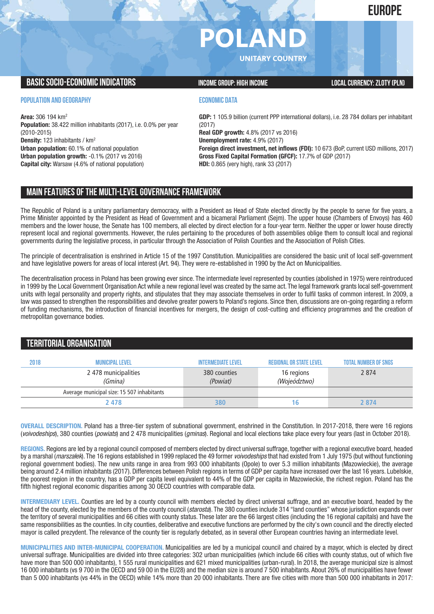**EUROPE**

# **POLAN**

**UNITARY COUNTRY**

### **BASIC SOCIO-ECONOMIC INDICATORS INCOME GROUP:** HIGH INCOME GROUP: HIGH INCOME

**POPULATION AND GEOGRAPHY**

**Area:** 306 194 km2 **Population:** 38.422 million inhabitants (2017), i.e. 0.0% per year (2010-2015) **Density:** 123 inhabitants / km2 **Urban population:** 60.1% of national population **Urban population growth:** -0.1% (2017 vs 2016) **Capital city:** Warsaw (4.6% of national population)

#### **ECONOMIC DATA**

**GDP:** 1 105.9 billion (current PPP international dollars), i.e. 28 784 dollars per inhabitant (2017) **Real GDP growth:** 4.8% (2017 vs 2016) **Unemployment rate:** 4.9% (2017) **Foreign direct investment, net inflows (FDI):** 10 673 (BoP, current USD millions, 2017) **Gross Fixed Capital Formation (GFCF):** 17.7% of GDP (2017) **HDI:** 0.865 (very high), rank 33 (2017)

## **MAIN FEATURESOFTHE MULTI-LEVELGOVERNANCEFRAMEWORK**

The Republic of Poland is a unitary parliamentary democracy, with a President as Head of State elected directly by the people to serve for five years, a Prime Minister appointed by the President as Head of Government and a bicameral Parliament (Sejm). The upper house (Chambers of Envoys) has 460 members and the lower house, the Senate has 100 members, all elected by direct election for a four-year term. Neither the upper or lower house directly represent local and regional governments. However, the rules pertaining to the procedures of both assemblies oblige them to consult local and regional governments during the legislative process, in particular through the Association of Polish Counties and the Association of Polish Cities.

The principle of decentralisation is enshrined in Article 15 of the 1997 Constitution. Municipalities are considered the basic unit of local self-government and have legislative powers for areas of local interest (Art. 94). They were re-established in 1990 by the Act on Municipalities.

The decentralisation process in Poland has been growing ever since. The intermediate level represented by counties (abolished in 1975) were reintroduced in 1999 by the Local Government Organisation Act while a new regional level was created by the same act. The legal framework grants local self-government units with legal personality and property rights, and stipulates that they may associate themselves in order to fulfil tasks of common interest. In 2009, a law was passed to strengthen the responsibilities and devolve greater powers to Poland's regions. Since then, discussions are on-going regarding a reform of funding mechanisms, the introduction of financial incentives for mergers, the design of cost-cutting and efficiency programmes and the creation of metropolitan governance bodies.

## **TERRITORIALORGANISATION 2018 Municipallevel Intermediatelevel regionalor Statelevel Total number ofSNGs** 2 478 municipalities 380 counties 16 regions 2 874 (Gmina) (Powiat) (Wojeództwo) Average municipal size: 15 507 inhabitants  **2 478 16 2 874 16 2 874**

**OVERALL DESCRIPTION.** Poland has a three-tier system of subnational government, enshrined in the Constitution. In 2017-2018, there were 16 regions (*voivodeships*), 380 counties (*powiats*) and 2 478 municipalities (*gminas*). Regional and local elections take place every four years (last in October 2018).

**REGIONS.** Regions are led by a regional council composed of members elected by direct universal suffrage, together with a regional executive board, headed by a marshal (*marszałek*). The 16 regions established in 1999 replaced the 49 former *voivodeships* that had existed from 1 July 1975 (but without functioning regional government bodies). The new units range in area from 993 000 inhabitants (Opole) to over 5.3 million inhabitants (Mazowieckie), the average being around 2.4 million inhabitants (2017). Differences between Polish regions in terms of GDP per capita have increased over the last 16 years. Lubelskie, the poorest region in the country, has a GDP per capita level equivalent to 44% of the GDP per capita in Mazowieckie, the richest region. Poland has the fifth highest regional economic disparities among 30 OECD countries with comparable data.

**INTERMEDIARY LEVEL.** Counties are led by a county council with members elected by direct universal suffrage, and an executive board, headed by the head of the county, elected by the members of the county council (*starosta*). The 380 counties include 314 "land counties" whose jurisdiction expands over the territory of several municipalities and 66 cities with county status. These later are the 66 largest cities (including the 16 regional capitals) and have the same responsibilities as the counties. In city counties, deliberative and executive functions are performed by the city's own council and the directly elected mayor is called prezydent. The relevance of the county tier is regularly debated, as in several other European countries having an intermediate level.

**MUNICIPALITIES AND INTER-MUNICIPAL COOPERATION.** Municipalities are led by a municipal council and chaired by a mayor, which is elected by direct universal suffrage. Municipalities are divided into three categories: 302 urban municipalities (which include 66 cities with county status, out of which five have more than 500 000 inhabitants), 1 555 rural municipalities and 621 mixed municipalities (urban-rural). In 2018, the average municipal size is almost 16 000 inhabitants (vs 9 700 in the OECD and 59 00 in the EU28) and the median size is around 7 500 inhabitants. About 26% of municipalities have fewer than 5 000 inhabitants (vs 44% in the OECD) while 14% more than 20 000 inhabitants. There are five cities with more than 500 000 inhabitants in 2017: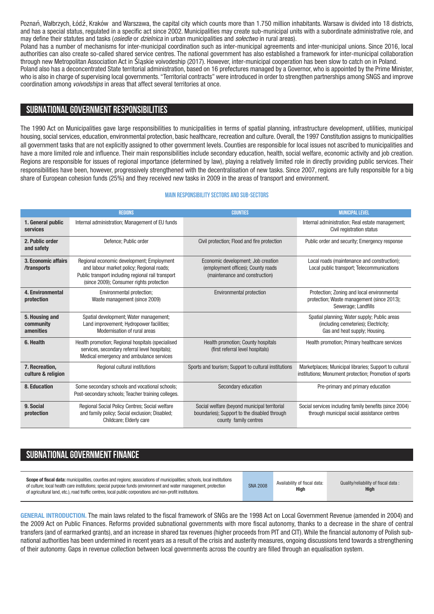Poznań, Wałbrzych, Łódź, Kraków and Warszawa, the capital city which counts more than 1.750 million inhabitants. Warsaw is divided into 18 districts, and has a special status, regulated in a specific act since 2002. Municipalities may create sub-municipal units with a subordinate administrative role, and may define their statutes and tasks (*osiedle* or *dzielnica* in urban municipalities and *sołectwo* in rural areas).

Poland has a number of mechanisms for inter-municipal coordination such as inter-municipal agreements and inter-municipal unions. Since 2016, local authorities can also create so-called shared service centres. The national government has also established a framework for inter-municipal collaboration through new Metropolitan Association Act in Śląskie voivodeship (2017). However, inter-municipal cooperation has been slow to catch on in Poland.

Poland also has a deconcentrated State territorial administration, based on 16 prefectures managed by a Governor, who is appointed by the Prime Minister, who is also in charge of supervising local governments. "Territorial contracts" were introduced in order to strengthen partnerships among SNGS and improve coordination among *voivodships* in areas that affect several territories at once.

## **SUBNATIONALGOVERNMENT RESPONSIBILITIES**

The 1990 Act on Municipalities gave large responsibilities to municipalities in terms of spatial planning, infrastructure development, utilities, municipal housing, social services, education, environmental protection, basic healthcare, recreation and culture. Overall, the 1997 Constitution assigns to municipalities all government tasks that are not explicitly assigned to other government levels. Counties are responsible for local issues not ascribed to municipalities and have a more limited role and influence. Their main responsibilities include secondary education, health, social welfare, economic activity and job creation. Regions are responsible for issues of regional importance (determined by law), playing a relatively limited role in directly providing public services. Their responsibilities have been, however, progressively strengthened with the decentralisation of new tasks. Since 2007, regions are fully responsible for a big share of European cohesion funds (25%) and they received new tasks in 2009 in the areas of transport and environment.

#### **Main responsibilitysectors and sub-sectors**

|                                          | <b>REGIONS</b>                                                                                                                                                                           | <b>COUNTIES</b>                                                                                                       | <b>MUNICIPAL LEVEL</b>                                                                                                |
|------------------------------------------|------------------------------------------------------------------------------------------------------------------------------------------------------------------------------------------|-----------------------------------------------------------------------------------------------------------------------|-----------------------------------------------------------------------------------------------------------------------|
| 1. General public<br>services            | Internal administration; Management of EU funds                                                                                                                                          |                                                                                                                       | Internal administration; Real estate management;<br>Civil registration status                                         |
| 2. Public order<br>and safety            | Defence; Public order                                                                                                                                                                    | Civil protection; Flood and fire protection                                                                           | Public order and security; Emergency response                                                                         |
| 3. Economic affairs<br>/transports       | Regional economic development; Employment<br>and labour market policy; Regional roads;<br>Public transport including regional rail transport<br>(since 2009); Consumer rights protection | Economic development; Job creation<br>(employment offices); County roads<br>(maintenance and construction)            | Local roads (maintenance and construction);<br>Local public transport; Telecommunications                             |
| 4. Environmental<br>protection           | Environmental protection;<br>Waste management (since 2009)                                                                                                                               | Environmental protection                                                                                              | Protection; Zoning and local environmental<br>protection; Waste management (since 2013);<br>Sewerage; Landfills       |
| 5. Housing and<br>community<br>amenities | Spatial development; Water management;<br>Land improvement; Hydropower facilities;<br>Modernisation of rural areas                                                                       |                                                                                                                       | Spatial planning; Water supply; Public areas<br>(including cemeteries); Electricity;<br>Gas and heat supply; Housing. |
| 6. Health                                | Health promotion; Regional hospitals (specialised<br>services, secondary referral level hospitals);<br>Medical emergency and ambulance services                                          | Health promotion; County hospitals<br>(first referral level hospitals)                                                | Health promotion; Primary healthcare services                                                                         |
| 7. Recreation,<br>culture & religion     | Regional cultural institutions                                                                                                                                                           | Sports and tourism; Support to cultural institutions                                                                  | Marketplaces; Municipal libraries; Support to cultural<br>institutions; Monument protection; Promotion of sports      |
| 8. Education                             | Some secondary schools and vocational schools;<br>Post-secondary schools; Teacher training colleges.                                                                                     | Secondary education                                                                                                   | Pre-primary and primary education                                                                                     |
| 9. Social<br>protection                  | Regional Social Policy Centres; Social welfare<br>and family policy; Social exclusion; Disabled;<br>Childcare; Elderly care                                                              | Social welfare (beyond municipal territorial<br>boundaries); Support to the disabled through<br>county family centres | Social services including family benefits (since 2004)<br>through municipal social assistance centres                 |

## **SUBNATIONAL GOVERNMENT FINANCE**

| Scope of fiscal data: municipalities, counties and regions; associations of municipalities; schools, local institutions<br>of culture; local health care institutions; special purpose funds (environment and water management, protection<br>of agricultural land, etc.), road traffic centres, local public corporations and non-profit institutions. | <b>SNA 2008</b> | Availability of fiscal data:<br>High | Quality/reliability of fiscal data:<br>High |
|---------------------------------------------------------------------------------------------------------------------------------------------------------------------------------------------------------------------------------------------------------------------------------------------------------------------------------------------------------|-----------------|--------------------------------------|---------------------------------------------|
|---------------------------------------------------------------------------------------------------------------------------------------------------------------------------------------------------------------------------------------------------------------------------------------------------------------------------------------------------------|-----------------|--------------------------------------|---------------------------------------------|

**GENERAL INTRODUCTION.** The main laws related to the fiscal framework of SNGs are the 1998 Act on Local Government Revenue (amended in 2004) and the 2009 Act on Public Finances. Reforms provided subnational governments with more fiscal autonomy, thanks to a decrease in the share of central transfers (and of earmarked grants), and an increase in shared tax revenues (higher proceeds from PIT and CIT).While the financial autonomy of Polish subnational authorities has been undermined in recent years as a result of the crisis and austerity measures, ongoing discussions tend towards a strengthening of their autonomy. Gaps in revenue collection between local governments across the country are filled through an equalisation system.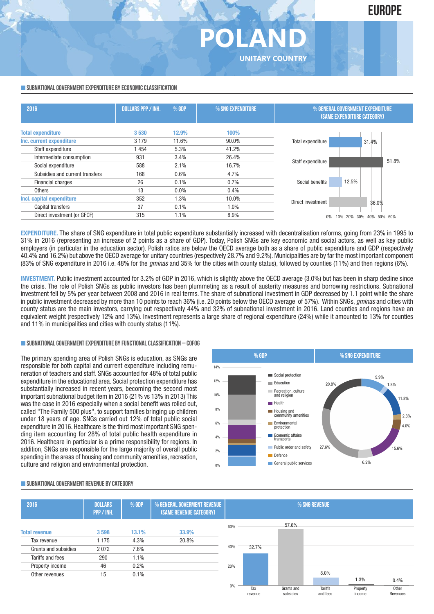#### **SUBNATIONAL GOVERNMENT EXPENDITURE BY ECONOMIC CLASSIFICATION**

| 2016                            | <b>DOLLARS PPP / INH.</b> | % GDP   | % SNG EXPENDITURE | % GENERAL GOVERNMENT EXPENDITURE<br>(SAME EXPENDITURE CATEGORY) |                                        |  |  |  |
|---------------------------------|---------------------------|---------|-------------------|-----------------------------------------------------------------|----------------------------------------|--|--|--|
| <b>Total expenditure</b>        | 3530                      | 12.9%   | 100%              |                                                                 |                                        |  |  |  |
| Inc. current expenditure        | 3 1 7 9                   | 11.6%   | 90.0%             | Total expenditure                                               | 31.4%                                  |  |  |  |
| Staff expenditure               | 1454                      | 5.3%    | 41.2%             |                                                                 |                                        |  |  |  |
| Intermediate consumption        | 931                       | 3.4%    | 26.4%             |                                                                 | 51.8%                                  |  |  |  |
| Social expenditure              | 588                       | 2.1%    | 16.7%             | Staff expenditure                                               |                                        |  |  |  |
| Subsidies and current transfers | 168                       | 0.6%    | 4.7%              |                                                                 |                                        |  |  |  |
| <b>Financial charges</b>        | 26                        | 0.1%    | 0.7%              | Social benefits                                                 | 12.5%                                  |  |  |  |
| <b>Others</b>                   | 13                        | $0.0\%$ | 0.4%              |                                                                 |                                        |  |  |  |
| Incl. capital expenditure       | 352                       | 1.3%    | 10.0%             | Direct investment                                               |                                        |  |  |  |
| Capital transfers               | 37                        | 0.1%    | 1.0%              |                                                                 | 36.0%                                  |  |  |  |
| Direct investment (or GFCF)     | 315                       | 1.1%    | 8.9%              |                                                                 | 20%<br>30%<br>60%<br>10%<br>50%<br>40% |  |  |  |
|                                 |                           |         |                   |                                                                 |                                        |  |  |  |

**POLAND**

**UNITARY COUNTRY**

**EXPENDITURE.** The share of SNG expenditure in total public expenditure substantially increased with decentralisation reforms, going from 23% in 1995 to 31% in 2016 (representing an increase of 2 points as a share of GDP). Today, Polish SNGs are key economic and social actors, as well as key public employers (in particular in the education sector). Polish ratios are below the OECD average both as a share of public expenditure and GDP (respectively 40.4% and 16.2%) but above the OECD average for unitary countries (respectively 28.7% and 9.2%). Municipalities are by far the most important component (83% of SNG expenditure in 2016 i.e. 48% for the *gminas* and 35% for the cities with county status), followed by counties (11%) and then regions (6%).

**INVESTMENT.** Public investment accounted for 3.2% of GDP in 2016, which is slightly above the OECD average (3.0%) but has been in sharp decline since the crisis. The role of Polish SNGs as public investors has been plummeting as a result of austerity measures and borrowing restrictions. Subnational investment fell by 5% per year between 2008 and 2016 in real terms. The share of subnational investment in GDP decreased by 1.1 point while the share in public investment decreased by more than 10 points to reach 36% (i.e. 20 points below the OECD average of 57%). Within SNGs, *gminas* and cities with county status are the main investors, carrying out respectively 44% and 32% of subnational investment in 2016. Land counties and regions have an equivalent weight (respectively 12% and 13%). Investment represents a large share of regional expenditure (24%) while it amounted to 13% for counties and 11% in municipalities and cities with county status (11%).

#### **SUBNATIONALGOVERNMENTEXPENDITURE BYFUNCTIONALCLASSIFICATION – COFOG**

The primary spending area of Polish SNGs is education, as SNGs are responsible for both capital and current expenditure including remuneration of teachers and staff. SNGs accounted for 48% of total public expenditure in the educational area. Social protection expenditure has substantially increased in recent years, becoming the second most important subnational budget item in 2016 (21% vs 13% in 2013) This was the case in 2016 especially when a social benefit was rolled out. called "The Family 500 plus", to support families bringing up children under 18 years of age. SNGs carried out 12% of total public social expenditure in 2016. Healthcare is the third most important SNG spending item accounting for 28% of total public health expenditure in 2016. Healthcare in particular is a prime responsibility for regions. In addition, SNGs are responsible for the large majority of overall public spending in the areas of housing and community amenities, recreation, culture and religion and environmental protection.



#### **SUBNATIONALGOVERNMENT REVENUE BYCATEGORY**

| 2016                 | <b>DOLLARS</b><br>PPP / INH. | % GDP | % GENERAL GOVERMENT REVENUE<br>(SAME REVENUE CATEGORY) |     |                |                         | % SNG REVENUE       |                    |                   |
|----------------------|------------------------------|-------|--------------------------------------------------------|-----|----------------|-------------------------|---------------------|--------------------|-------------------|
|                      |                              |       |                                                        | 60% |                | 57.6%                   |                     |                    |                   |
| <b>Total revenue</b> | 3598                         | 13.1% | 33.9%                                                  |     |                |                         |                     |                    |                   |
| Tax revenue          | 1 1 7 5                      | 4.3%  | 20.8%                                                  |     |                |                         |                     |                    |                   |
| Grants and subsidies | 2072                         | 7.6%  |                                                        | 40% | 32.7%          |                         |                     |                    |                   |
| Tariffs and fees     | 290                          | 1.1%  |                                                        |     |                |                         |                     |                    |                   |
| Property income      | 46                           | 0.2%  |                                                        | 20% |                |                         |                     |                    |                   |
| Other revenues       | 15                           | 0.1%  |                                                        |     |                |                         | 8.0%                |                    |                   |
|                      |                              |       |                                                        |     |                |                         |                     | 1.3%               | 0.4%              |
|                      |                              |       |                                                        | 0%  | Tax<br>revenue | Grants and<br>subsidies | Tariffs<br>and fees | Property<br>income | Other<br>Revenues |